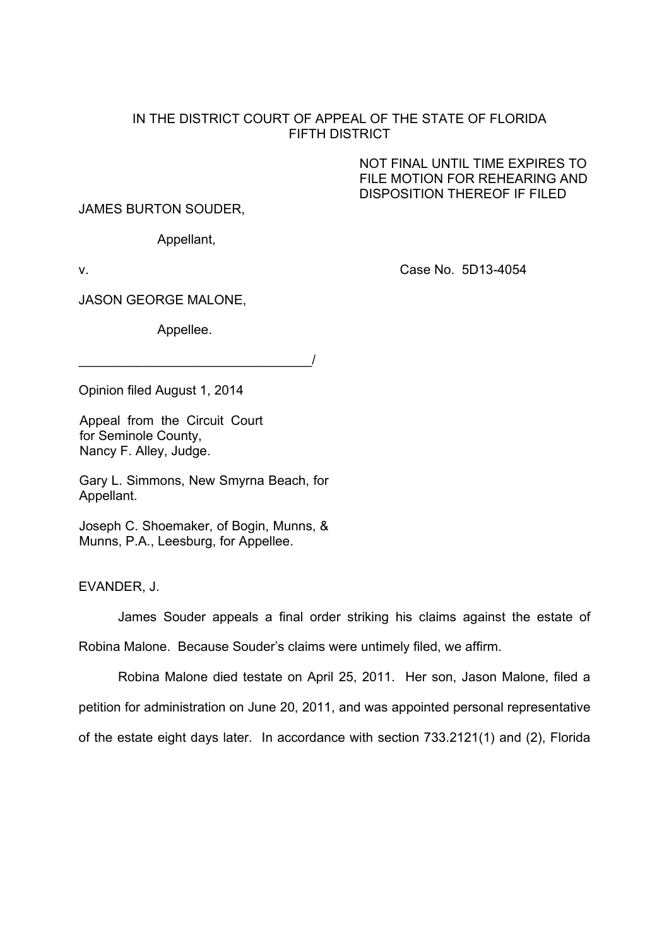## IN THE DISTRICT COURT OF APPEAL OF THE STATE OF FLORIDA FIFTH DISTRICT

 NOT FINAL UNTIL TIME EXPIRES TO FILE MOTION FOR REHEARING AND DISPOSITION THEREOF IF FILED

JAMES BURTON SOUDER,

Appellant,

v. Case No. 5D13-4054

JASON GEORGE MALONE,

Appellee.

\_\_\_\_\_\_\_\_\_\_\_\_\_\_\_\_\_\_\_\_\_\_\_\_\_\_\_\_\_\_\_\_/

Opinion filed August 1, 2014

Appeal from the Circuit Court for Seminole County, Nancy F. Alley, Judge.

Gary L. Simmons, New Smyrna Beach, for Appellant.

Joseph C. Shoemaker, of Bogin, Munns, & Munns, P.A., Leesburg, for Appellee.

EVANDER, J.

 James Souder appeals a final order striking his claims against the estate of Robina Malone. Because Souder's claims were untimely filed, we affirm.

 Robina Malone died testate on April 25, 2011. Her son, Jason Malone, filed a petition for administration on June 20, 2011, and was appointed personal representative of the estate eight days later. In accordance with section 733.2121(1) and (2), Florida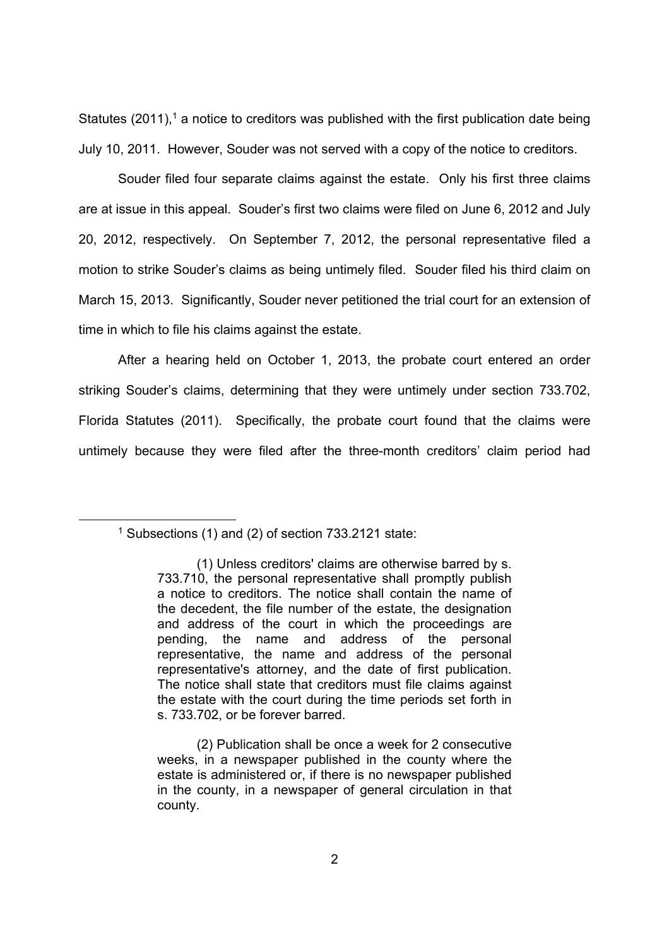Statutes (2011),<sup>1</sup> a notice to creditors was published with the first publication date being July 10, 2011. However, Souder was not served with a copy of the notice to creditors.

 Souder filed four separate claims against the estate. Only his first three claims are at issue in this appeal. Souder's first two claims were filed on June 6, 2012 and July 20, 2012, respectively. On September 7, 2012, the personal representative filed a motion to strike Souder's claims as being untimely filed. Souder filed his third claim on March 15, 2013. Significantly, Souder never petitioned the trial court for an extension of time in which to file his claims against the estate.

 After a hearing held on October 1, 2013, the probate court entered an order striking Souder's claims, determining that they were untimely under section 733.702, Florida Statutes (2011). Specifically, the probate court found that the claims were untimely because they were filed after the three-month creditors' claim period had

 $1$  Subsections (1) and (2) of section 733.2121 state:

<sup>(1)</sup> Unless creditors' claims are otherwise barred by s. 733.710, the personal representative shall promptly publish a notice to creditors. The notice shall contain the name of the decedent, the file number of the estate, the designation and address of the court in which the proceedings are pending, the name and address of the personal representative, the name and address of the personal representative's attorney, and the date of first publication. The notice shall state that creditors must file claims against the estate with the court during the time periods set forth in s. 733.702, or be forever barred.

<sup>(2)</sup> Publication shall be once a week for 2 consecutive weeks, in a newspaper published in the county where the estate is administered or, if there is no newspaper published in the county, in a newspaper of general circulation in that county.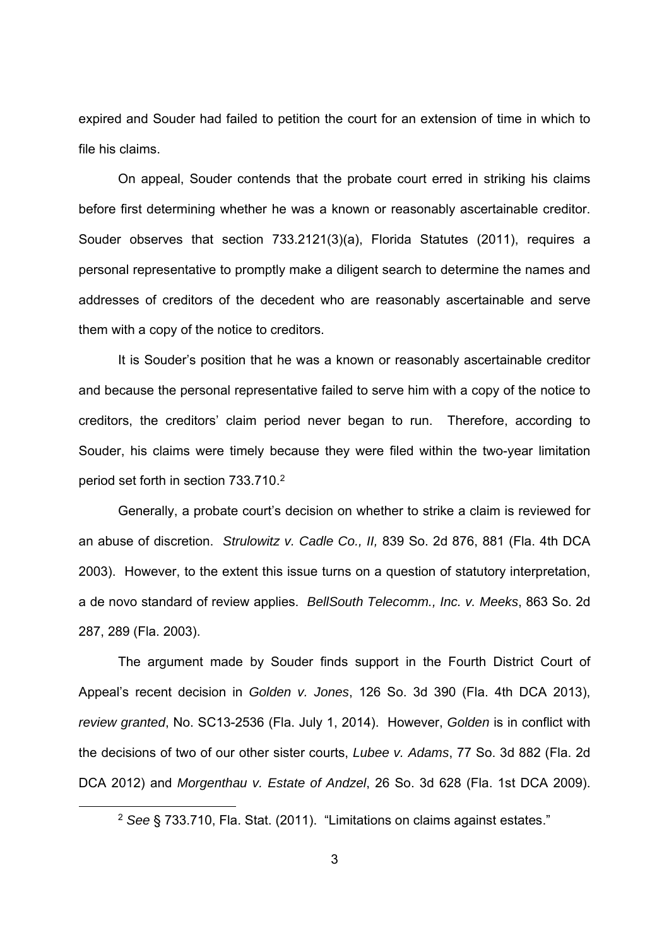expired and Souder had failed to petition the court for an extension of time in which to file his claims.

 On appeal, Souder contends that the probate court erred in striking his claims before first determining whether he was a known or reasonably ascertainable creditor. Souder observes that section 733.2121(3)(a), Florida Statutes (2011), requires a personal representative to promptly make a diligent search to determine the names and addresses of creditors of the decedent who are reasonably ascertainable and serve them with a copy of the notice to creditors.

It is Souder's position that he was a known or reasonably ascertainable creditor and because the personal representative failed to serve him with a copy of the notice to creditors, the creditors' claim period never began to run. Therefore, according to Souder, his claims were timely because they were filed within the two-year limitation period set forth in section 733.710.2

 Generally, a probate court's decision on whether to strike a claim is reviewed for an abuse of discretion. *Strulowitz v. Cadle Co., II,* 839 So. 2d 876, 881 (Fla. 4th DCA 2003). However, to the extent this issue turns on a question of statutory interpretation, a de novo standard of review applies. *BellSouth Telecomm., Inc. v. Meeks*, 863 So. 2d 287, 289 (Fla. 2003).

 The argument made by Souder finds support in the Fourth District Court of Appeal's recent decision in *Golden v. Jones*, 126 So. 3d 390 (Fla. 4th DCA 2013), *review granted*, No. SC13-2536 (Fla. July 1, 2014). However, *Golden* is in conflict with the decisions of two of our other sister courts, *Lubee v. Adams*, 77 So. 3d 882 (Fla. 2d DCA 2012) and *Morgenthau v. Estate of Andzel*, 26 So. 3d 628 (Fla. 1st DCA 2009).

 <sup>2</sup> *See* § 733.710, Fla. Stat. (2011). "Limitations on claims against estates."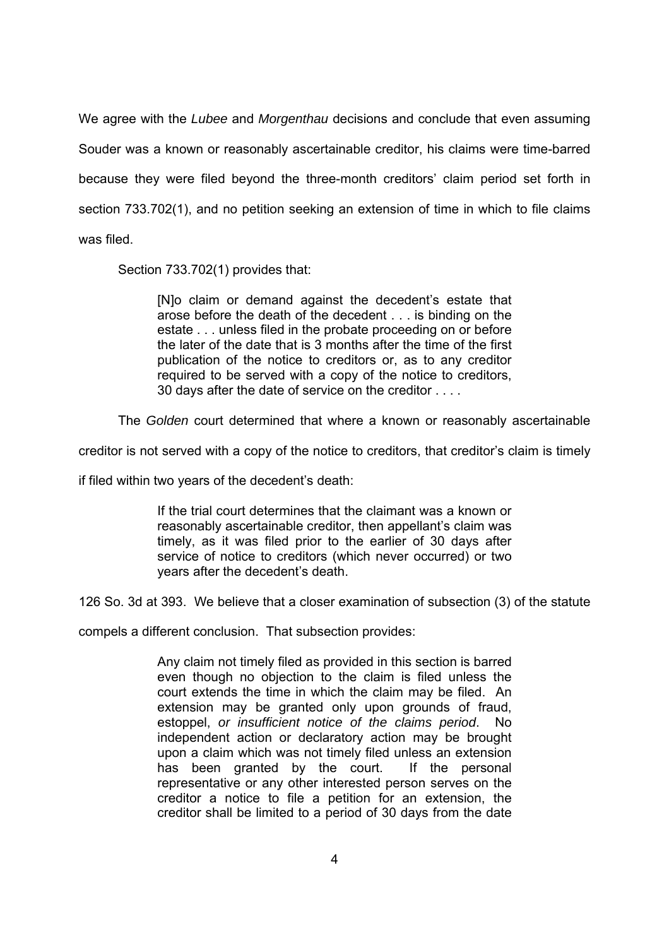We agree with the *Lubee* and *Morgenthau* decisions and conclude that even assuming Souder was a known or reasonably ascertainable creditor, his claims were time-barred because they were filed beyond the three-month creditors' claim period set forth in section 733.702(1), and no petition seeking an extension of time in which to file claims was filed.

Section 733.702(1) provides that:

[N]o claim or demand against the decedent's estate that arose before the death of the decedent . . . is binding on the estate . . . unless filed in the probate proceeding on or before the later of the date that is 3 months after the time of the first publication of the notice to creditors or, as to any creditor required to be served with a copy of the notice to creditors, 30 days after the date of service on the creditor . . . .

The *Golden* court determined that where a known or reasonably ascertainable

creditor is not served with a copy of the notice to creditors, that creditor's claim is timely

if filed within two years of the decedent's death:

If the trial court determines that the claimant was a known or reasonably ascertainable creditor, then appellant's claim was timely, as it was filed prior to the earlier of 30 days after service of notice to creditors (which never occurred) or two years after the decedent's death.

126 So. 3d at 393. We believe that a closer examination of subsection (3) of the statute

compels a different conclusion. That subsection provides:

Any claim not timely filed as provided in this section is barred even though no objection to the claim is filed unless the court extends the time in which the claim may be filed. An extension may be granted only upon grounds of fraud, estoppel, *or insufficient notice of the claims period*. No independent action or declaratory action may be brought upon a claim which was not timely filed unless an extension has been granted by the court. If the personal representative or any other interested person serves on the creditor a notice to file a petition for an extension, the creditor shall be limited to a period of 30 days from the date